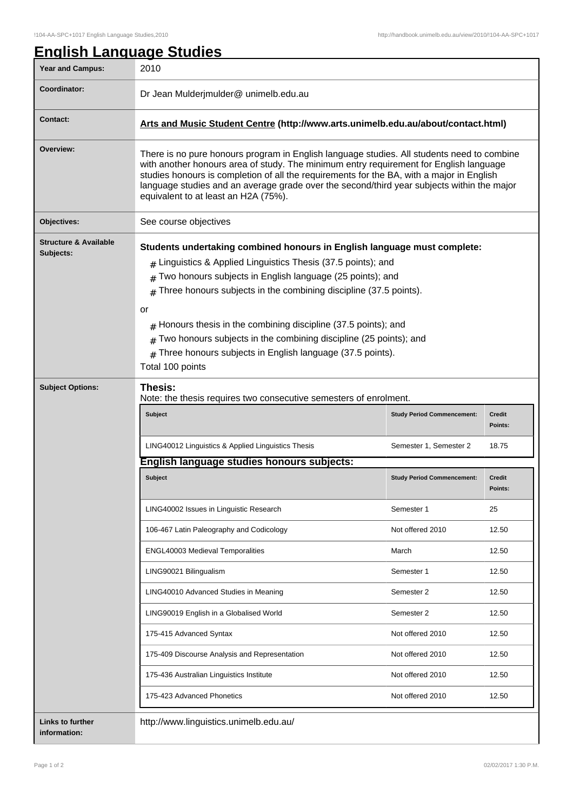| <b>Year and Campus:</b>                       | 2010                                                                                                                                                                                                                                                                                                                                                                                                                                                                                                                                   |                                   |                   |
|-----------------------------------------------|----------------------------------------------------------------------------------------------------------------------------------------------------------------------------------------------------------------------------------------------------------------------------------------------------------------------------------------------------------------------------------------------------------------------------------------------------------------------------------------------------------------------------------------|-----------------------------------|-------------------|
| Coordinator:                                  | Dr Jean Mulderjmulder@ unimelb.edu.au                                                                                                                                                                                                                                                                                                                                                                                                                                                                                                  |                                   |                   |
| <b>Contact:</b>                               | Arts and Music Student Centre (http://www.arts.unimelb.edu.au/about/contact.html)                                                                                                                                                                                                                                                                                                                                                                                                                                                      |                                   |                   |
| Overview:                                     | There is no pure honours program in English language studies. All students need to combine<br>with another honours area of study. The minimum entry requirement for English language<br>studies honours is completion of all the requirements for the BA, with a major in English<br>language studies and an average grade over the second/third year subjects within the major<br>equivalent to at least an H2A (75%).                                                                                                                |                                   |                   |
| Objectives:                                   | See course objectives                                                                                                                                                                                                                                                                                                                                                                                                                                                                                                                  |                                   |                   |
| <b>Structure &amp; Available</b><br>Subjects: | Students undertaking combined honours in English language must complete:<br>$_{\#}$ Linguistics & Applied Linguistics Thesis (37.5 points); and<br>Two honours subjects in English language (25 points); and<br>#<br>Three honours subjects in the combining discipline (37.5 points).<br>#<br>or<br>$#$ Honours thesis in the combining discipline (37.5 points); and<br>Two honours subjects in the combining discipline (25 points); and<br>#<br>Three honours subjects in English language (37.5 points).<br>#<br>Total 100 points |                                   |                   |
| <b>Subject Options:</b>                       | Thesis:<br>Note: the thesis requires two consecutive semesters of enrolment.                                                                                                                                                                                                                                                                                                                                                                                                                                                           |                                   |                   |
|                                               | Subject                                                                                                                                                                                                                                                                                                                                                                                                                                                                                                                                | <b>Study Period Commencement:</b> | Credit<br>Points: |
|                                               | LING40012 Linguistics & Applied Linguistics Thesis                                                                                                                                                                                                                                                                                                                                                                                                                                                                                     | Semester 1, Semester 2            | 18.75             |
|                                               | English language studies honours subjects:                                                                                                                                                                                                                                                                                                                                                                                                                                                                                             |                                   |                   |
|                                               | Subject                                                                                                                                                                                                                                                                                                                                                                                                                                                                                                                                | <b>Study Period Commencement:</b> | Credit<br>Points: |
|                                               | LING40002 Issues in Linguistic Research                                                                                                                                                                                                                                                                                                                                                                                                                                                                                                | Semester 1                        | 25                |
|                                               | 106-467 Latin Paleography and Codicology                                                                                                                                                                                                                                                                                                                                                                                                                                                                                               | Not offered 2010                  | 12.50             |
|                                               | <b>ENGL40003 Medieval Temporalities</b>                                                                                                                                                                                                                                                                                                                                                                                                                                                                                                | March                             | 12.50             |
|                                               | LING90021 Bilingualism                                                                                                                                                                                                                                                                                                                                                                                                                                                                                                                 | Semester 1                        | 12.50             |
|                                               | LING40010 Advanced Studies in Meaning                                                                                                                                                                                                                                                                                                                                                                                                                                                                                                  | Semester 2                        | 12.50             |
|                                               | LING90019 English in a Globalised World                                                                                                                                                                                                                                                                                                                                                                                                                                                                                                | Semester 2                        | 12.50             |
|                                               | 175-415 Advanced Syntax                                                                                                                                                                                                                                                                                                                                                                                                                                                                                                                | Not offered 2010                  | 12.50             |
|                                               | 175-409 Discourse Analysis and Representation                                                                                                                                                                                                                                                                                                                                                                                                                                                                                          | Not offered 2010                  | 12.50             |
|                                               | 175-436 Australian Linguistics Institute                                                                                                                                                                                                                                                                                                                                                                                                                                                                                               | Not offered 2010                  | 12.50             |
|                                               |                                                                                                                                                                                                                                                                                                                                                                                                                                                                                                                                        |                                   |                   |